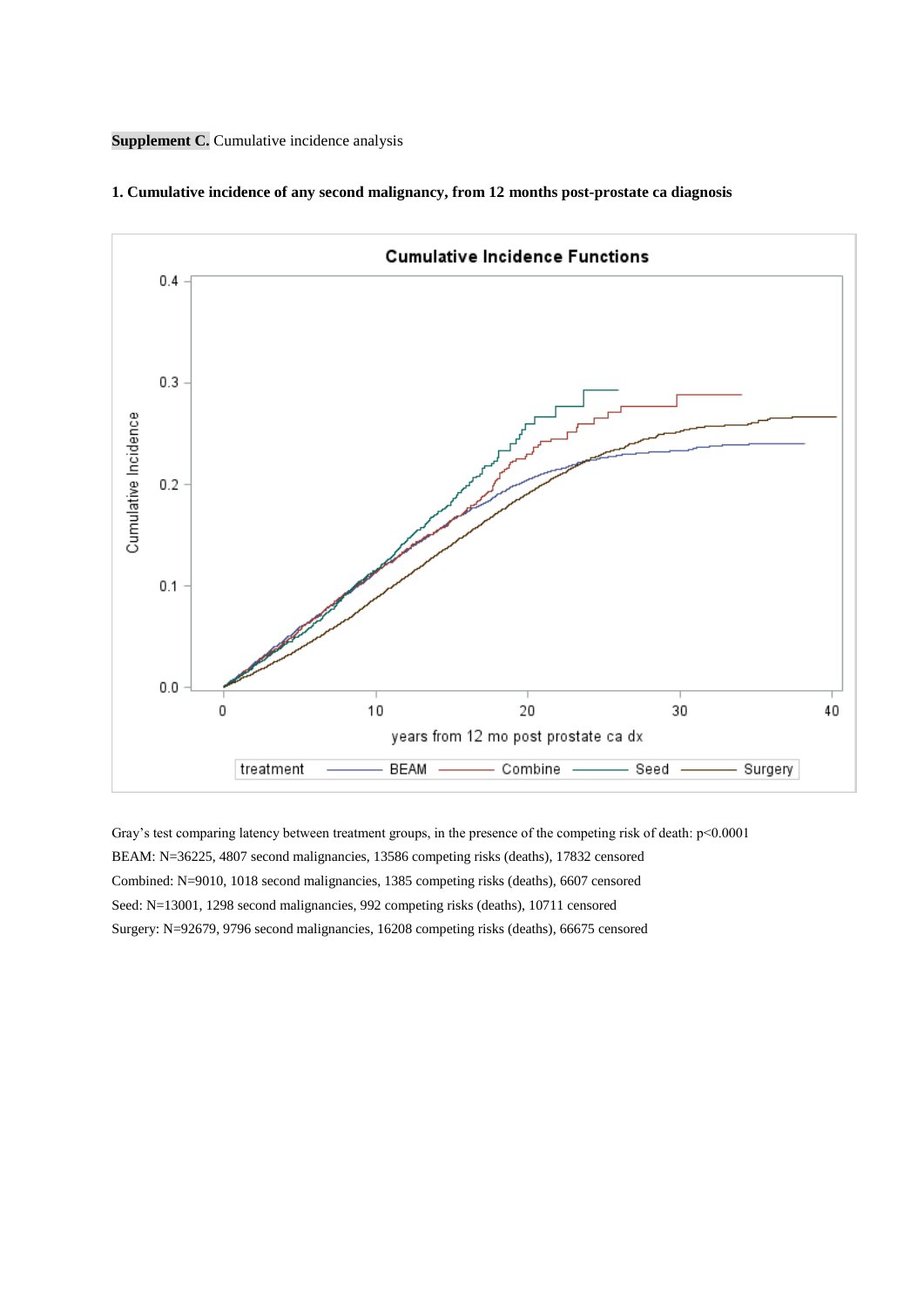**Supplement C.** Cumulative incidence analysis



## **1. Cumulative incidence of any second malignancy, from 12 months post-prostate ca diagnosis**

Gray's test comparing latency between treatment groups, in the presence of the competing risk of death: p<0.0001 BEAM: N=36225, 4807 second malignancies, 13586 competing risks (deaths), 17832 censored Combined: N=9010, 1018 second malignancies, 1385 competing risks (deaths), 6607 censored Seed: N=13001, 1298 second malignancies, 992 competing risks (deaths), 10711 censored Surgery: N=92679, 9796 second malignancies, 16208 competing risks (deaths), 66675 censored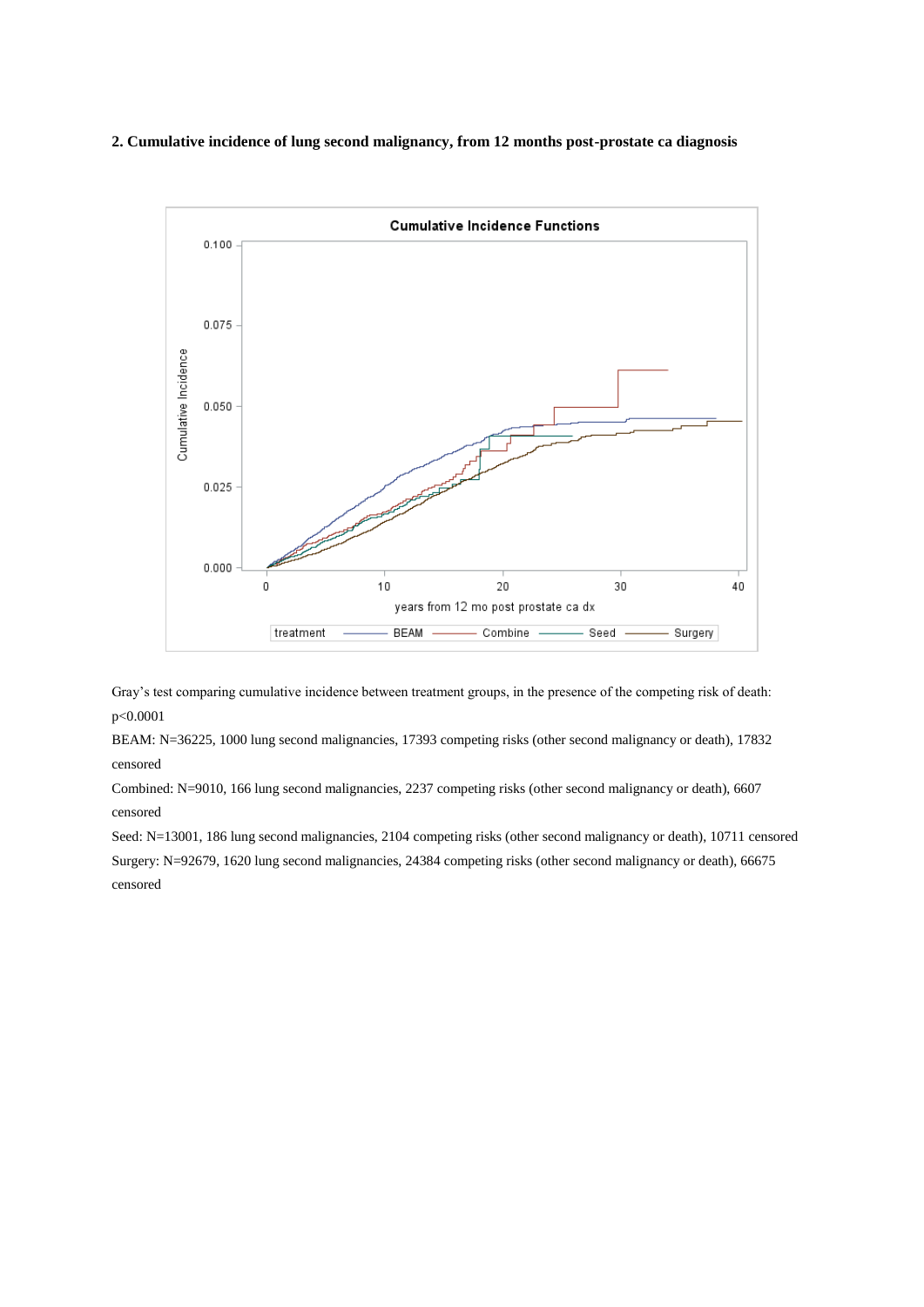## **2. Cumulative incidence of lung second malignancy, from 12 months post-prostate ca diagnosis**



Gray's test comparing cumulative incidence between treatment groups, in the presence of the competing risk of death: p<0.0001

BEAM: N=36225, 1000 lung second malignancies, 17393 competing risks (other second malignancy or death), 17832 censored

Combined: N=9010, 166 lung second malignancies, 2237 competing risks (other second malignancy or death), 6607 censored

Seed: N=13001, 186 lung second malignancies, 2104 competing risks (other second malignancy or death), 10711 censored Surgery: N=92679, 1620 lung second malignancies, 24384 competing risks (other second malignancy or death), 66675 censored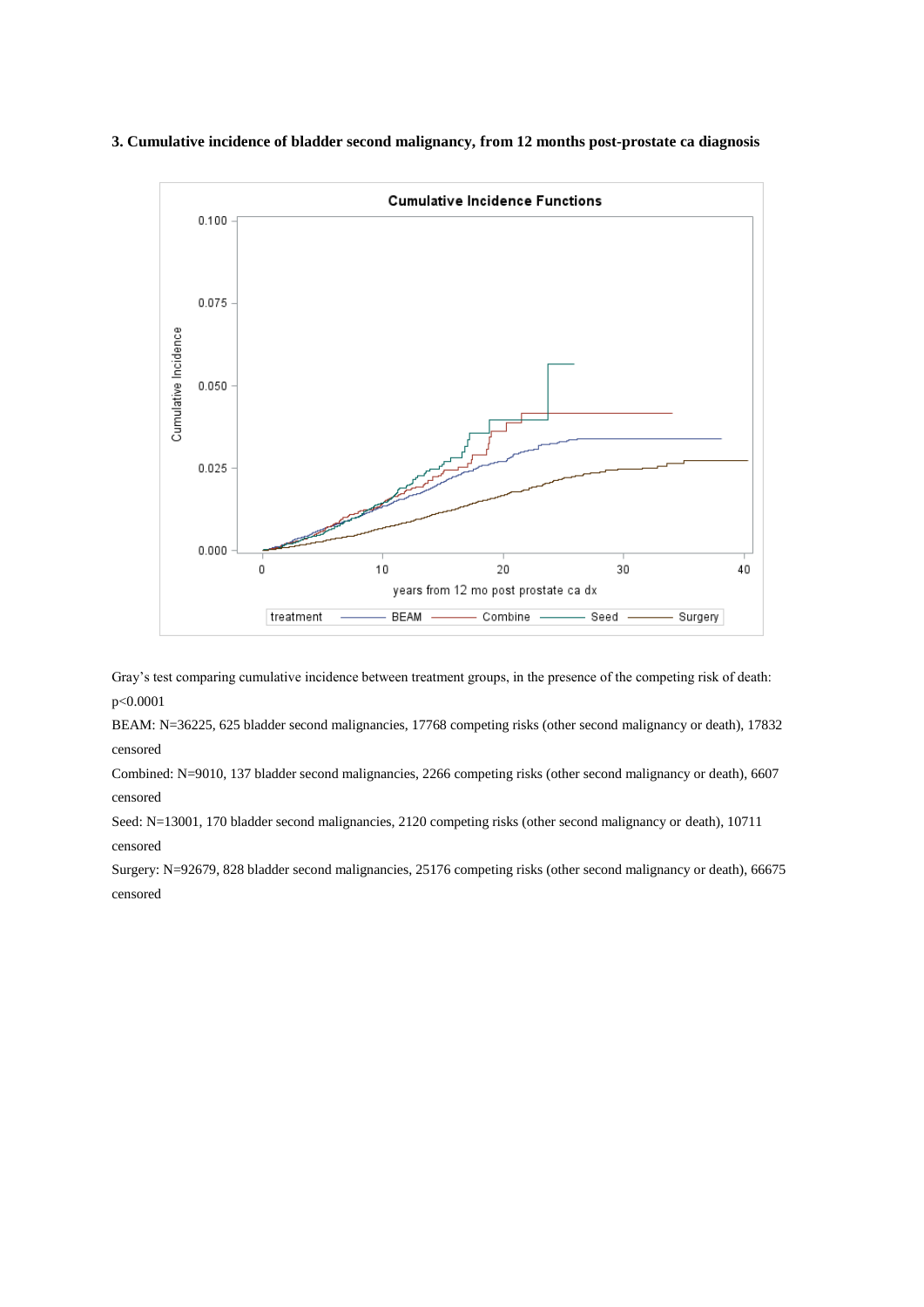## **3. Cumulative incidence of bladder second malignancy, from 12 months post-prostate ca diagnosis**



Gray's test comparing cumulative incidence between treatment groups, in the presence of the competing risk of death: p<0.0001

BEAM: N=36225, 625 bladder second malignancies, 17768 competing risks (other second malignancy or death), 17832 censored

Combined: N=9010, 137 bladder second malignancies, 2266 competing risks (other second malignancy or death), 6607 censored

Seed: N=13001, 170 bladder second malignancies, 2120 competing risks (other second malignancy or death), 10711 censored

Surgery: N=92679, 828 bladder second malignancies, 25176 competing risks (other second malignancy or death), 66675 censored